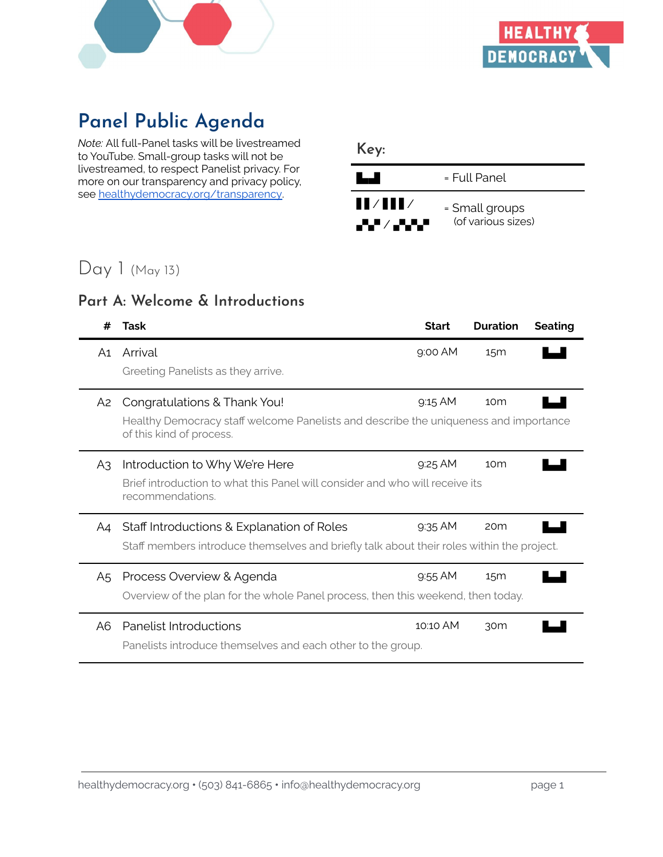



# **Panel Public Agenda**

*Note:* All full-Panel tasks will be livestreamed to YouTube. Small-group tasks will not be livestreamed, to respect Panelist privacy. For more on our transparency and privacy policy, see healthydemocracy.org/transparency

| Key:                                          |                                      |
|-----------------------------------------------|--------------------------------------|
| a shekara                                     | = Full Panel                         |
| $\blacksquare$ / $\blacksquare$ /<br>▟▚▘▏▞▞▞▘ | = Small groups<br>(of various sizes) |

# Day 1 (May 13)

#### **Part A: Welcome & Introductions**

| #  | Task                                                                                                                                             | <b>Start</b> | <b>Duration</b> | <b>Seating</b> |
|----|--------------------------------------------------------------------------------------------------------------------------------------------------|--------------|-----------------|----------------|
| A1 | Arrival<br>Greeting Panelists as they arrive.                                                                                                    | $9.00$ AM    | 15 <sub>m</sub> |                |
| A2 | Congratulations & Thank You!<br>Healthy Democracy staff welcome Panelists and describe the uniqueness and importance<br>of this kind of process. | 9:15 AM      | 10 <sub>m</sub> |                |
| A3 | Introduction to Why We're Here<br>Brief introduction to what this Panel will consider and who will receive its<br>recommendations.               | $9.25$ AM    | 10 <sub>m</sub> |                |
| A4 | Staff Introductions & Explanation of Roles<br>Staff members introduce themselves and briefly talk about their roles within the project.          | $9.35$ AM    | 20 <sub>m</sub> |                |
| A5 | Process Overview & Agenda<br>Overview of the plan for the whole Panel process, then this weekend, then today.                                    | 9:55 AM      | 15 <sub>m</sub> |                |
| A6 | Panelist Introductions<br>Panelists introduce themselves and each other to the group.                                                            | 10:10 AM     | 30 <sub>m</sub> |                |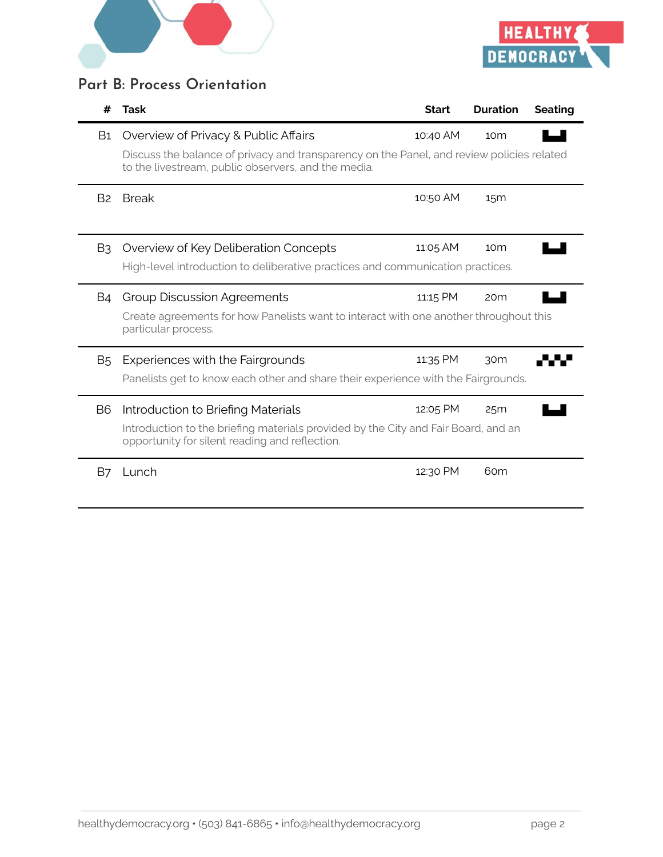



#### **Part B: Process Orientation**

| #              | Task                                                                                                                                             | <b>Start</b> | <b>Duration</b> | <b>Seating</b> |
|----------------|--------------------------------------------------------------------------------------------------------------------------------------------------|--------------|-----------------|----------------|
| B1             | Overview of Privacy & Public Affairs                                                                                                             | 10:40 AM     | 10 <sub>m</sub> |                |
|                | Discuss the balance of privacy and transparency on the Panel, and review policies related<br>to the livestream, public observers, and the media. |              |                 |                |
| B <sub>2</sub> | <b>Break</b>                                                                                                                                     | 10:50 AM     | 15 <sub>m</sub> |                |
| B <sub>3</sub> | Overview of Key Deliberation Concepts                                                                                                            | 11:05 AM     | 10 <sub>m</sub> |                |
|                | High-level introduction to deliberative practices and communication practices.                                                                   |              |                 |                |
| <b>B4</b>      | <b>Group Discussion Agreements</b>                                                                                                               | 11:15 PM     | 20 <sub>m</sub> |                |
|                | Create agreements for how Panelists want to interact with one another throughout this<br>particular process.                                     |              |                 |                |
| <b>B5</b>      | Experiences with the Fairgrounds                                                                                                                 | 11:35 PM     | 30m             |                |
|                | Panelists get to know each other and share their experience with the Fairgrounds.                                                                |              |                 |                |
| B <sub>6</sub> | Introduction to Briefing Materials                                                                                                               | 12:05 PM     | 25m             |                |
|                | Introduction to the briefing materials provided by the City and Fair Board, and an<br>opportunity for silent reading and reflection.             |              |                 |                |
| <b>B7</b>      | Lunch                                                                                                                                            | 12:30 PM     | 60 <sub>m</sub> |                |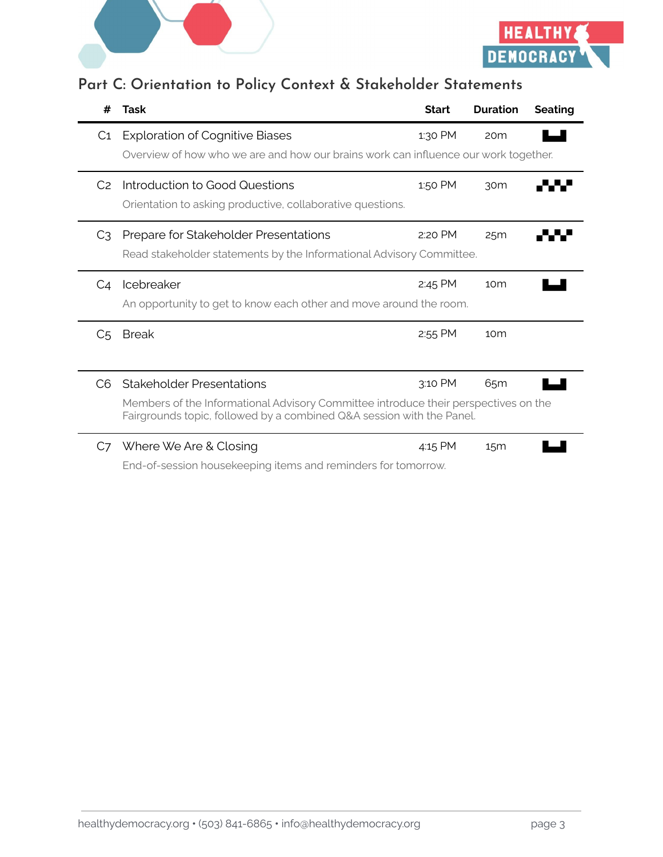



## **Part C: Orientation to Policy Context & Stakeholder Statements**

| #              | Task                                                                                                                                                                                             | <b>Start</b> | <b>Duration</b> | <b>Seating</b> |
|----------------|--------------------------------------------------------------------------------------------------------------------------------------------------------------------------------------------------|--------------|-----------------|----------------|
| C <sub>1</sub> | <b>Exploration of Cognitive Biases</b><br>Overview of how who we are and how our brains work can influence our work together.                                                                    | 1:30 PM      | 20 <sub>m</sub> |                |
| C2             | Introduction to Good Questions<br>Orientation to asking productive, collaborative questions.                                                                                                     | 1:50 PM      | 30 <sub>m</sub> |                |
| C3             | Prepare for Stakeholder Presentations<br>Read stakeholder statements by the Informational Advisory Committee.                                                                                    | 2:20 PM      | 25m             |                |
| C4             | Icebreaker<br>An opportunity to get to know each other and move around the room.                                                                                                                 | 2:45 PM      | 10 <sub>m</sub> |                |
| C <sub>5</sub> | <b>Break</b>                                                                                                                                                                                     | 2:55 PM      | 10 <sub>m</sub> |                |
| C <sub>6</sub> | <b>Stakeholder Presentations</b><br>Members of the Informational Advisory Committee introduce their perspectives on the<br>Fairgrounds topic, followed by a combined Q&A session with the Panel. | 3:10 PM      | 65 <sub>m</sub> |                |
| C7             | Where We Are & Closing                                                                                                                                                                           | 4:15 PM      | 15 <sub>m</sub> |                |

End-of-session housekeeping items and reminders for tomorrow.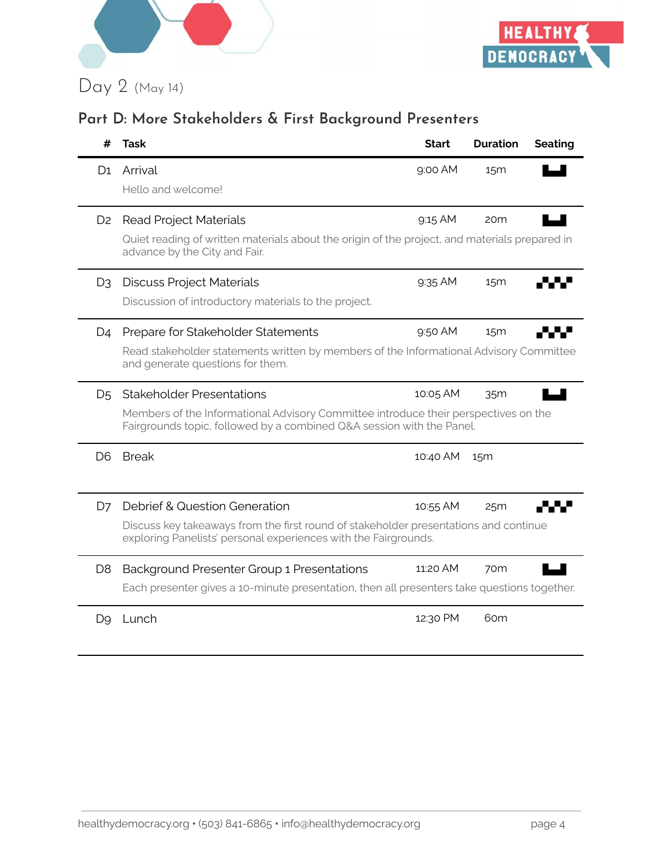



## **Part D: More Stakeholders & First Background Presenters**

| #              | Task                                                                                                                                                                                             | <b>Start</b> | <b>Duration</b> | <b>Seating</b> |
|----------------|--------------------------------------------------------------------------------------------------------------------------------------------------------------------------------------------------|--------------|-----------------|----------------|
| D1             | Arrival<br>Hello and welcome!                                                                                                                                                                    | 9:00 AM      | 15 <sub>m</sub> |                |
| D <sub>2</sub> | <b>Read Project Materials</b><br>Quiet reading of written materials about the origin of the project, and materials prepared in<br>advance by the City and Fair.                                  | $9:15$ AM    | 20 <sub>m</sub> |                |
| D <sub>3</sub> | <b>Discuss Project Materials</b><br>Discussion of introductory materials to the project.                                                                                                         | 9:35 AM      | 15 <sub>m</sub> |                |
| D4             | Prepare for Stakeholder Statements<br>Read stakeholder statements written by members of the Informational Advisory Committee<br>and generate questions for them.                                 | 9:50 AM      | 15 <sub>m</sub> |                |
| D <sub>5</sub> | <b>Stakeholder Presentations</b><br>Members of the Informational Advisory Committee introduce their perspectives on the<br>Fairgrounds topic, followed by a combined Q&A session with the Panel. | 10:05 AM     | 35m             |                |
| D <sub>6</sub> | <b>Break</b>                                                                                                                                                                                     | 10:40 AM     | 15 <sub>m</sub> |                |
| D7             | Debrief & Question Generation<br>Discuss key takeaways from the first round of stakeholder presentations and continue<br>exploring Panelists' personal experiences with the Fairgrounds.         | 10:55 AM     | 25m             |                |
| D <sub>8</sub> | <b>Background Presenter Group 1 Presentations</b><br>Each presenter gives a 10-minute presentation, then all presenters take questions together.                                                 | 11:20 AM     | 70 <sub>m</sub> |                |
| D9             | Lunch                                                                                                                                                                                            | 12:30 PM     | 60m             |                |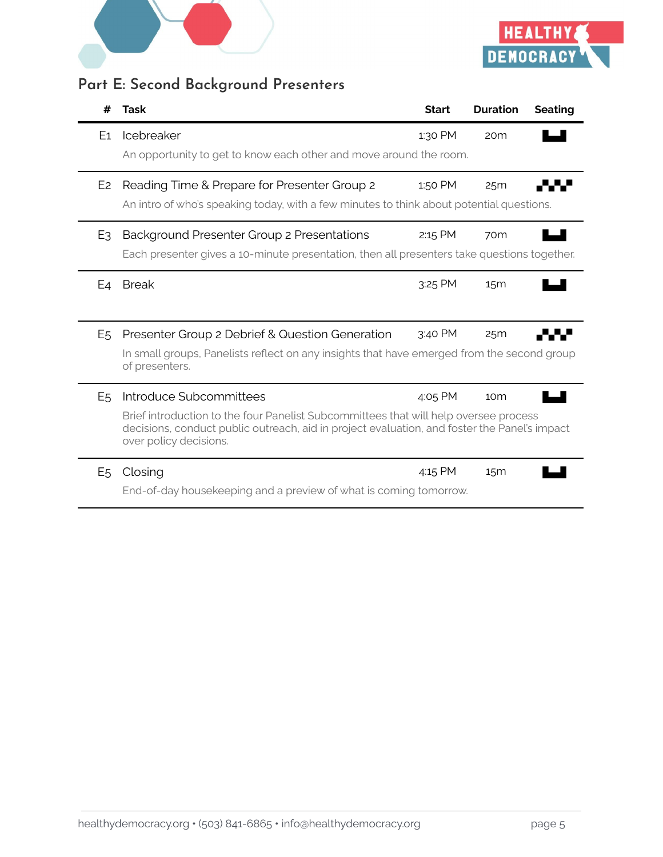



## **Part E: Second Background Presenters**

| #              | Task                                                                                                                                                                                                           | <b>Start</b> | <b>Duration</b> | <b>Seating</b> |
|----------------|----------------------------------------------------------------------------------------------------------------------------------------------------------------------------------------------------------------|--------------|-----------------|----------------|
| E1             | Icebreaker                                                                                                                                                                                                     | 1:30 PM      | 20 <sub>m</sub> |                |
|                | An opportunity to get to know each other and move around the room.                                                                                                                                             |              |                 |                |
| E <sub>2</sub> | Reading Time & Prepare for Presenter Group 2                                                                                                                                                                   | 1:50 PM      | 25m             |                |
|                | An intro of who's speaking today, with a few minutes to think about potential questions.                                                                                                                       |              |                 |                |
| E <sub>3</sub> | Background Presenter Group 2 Presentations                                                                                                                                                                     | 2:15 PM      | 70 <sub>m</sub> |                |
|                | Each presenter gives a 10-minute presentation, then all presenters take questions together.                                                                                                                    |              |                 |                |
| E4             | <b>Break</b>                                                                                                                                                                                                   | 3:25 PM      | 15 <sub>m</sub> |                |
|                |                                                                                                                                                                                                                |              |                 |                |
| E <sub>5</sub> | Presenter Group 2 Debrief & Question Generation                                                                                                                                                                | 3:40 PM      | 25m             |                |
|                | In small groups, Panelists reflect on any insights that have emerged from the second group<br>of presenters.                                                                                                   |              |                 |                |
| E <sub>5</sub> | Introduce Subcommittees                                                                                                                                                                                        | 4:05 PM      | 10 <sub>m</sub> |                |
|                | Brief introduction to the four Panelist Subcommittees that will help oversee process<br>decisions, conduct public outreach, aid in project evaluation, and foster the Panel's impact<br>over policy decisions. |              |                 |                |
| E <sub>5</sub> | Closing                                                                                                                                                                                                        | 4:15 PM      | 15 <sub>m</sub> |                |
|                | End-of-day housekeeping and a preview of what is coming tomorrow.                                                                                                                                              |              |                 |                |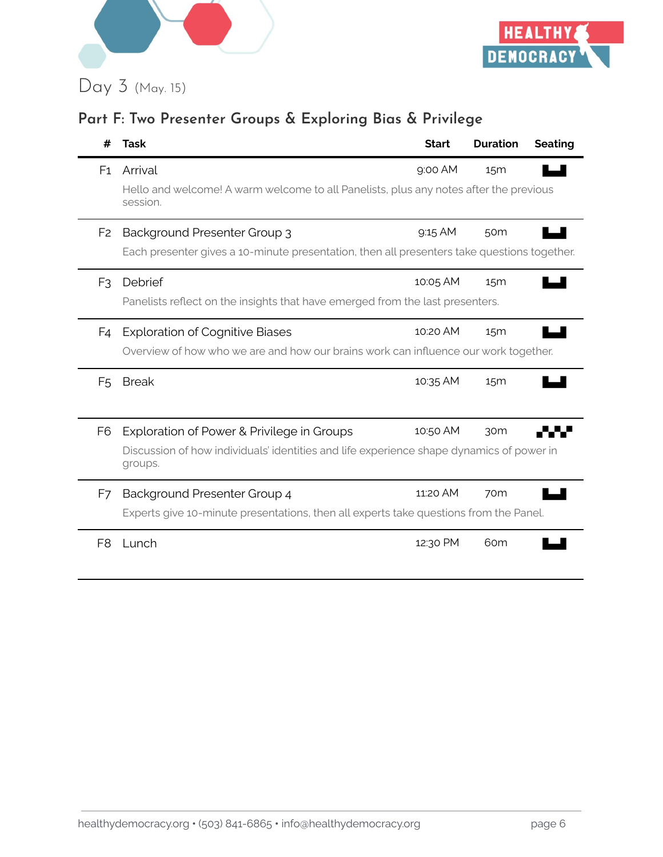



# **Part F: Two Presenter Groups & Exploring Bias & Privilege**

| #              | Task                                                                                                | <b>Start</b> | <b>Duration</b> | <b>Seating</b> |
|----------------|-----------------------------------------------------------------------------------------------------|--------------|-----------------|----------------|
| F <sub>1</sub> | Arrival                                                                                             | 9:00 AM      | 15 <sub>m</sub> |                |
|                | Hello and welcome! A warm welcome to all Panelists, plus any notes after the previous<br>session.   |              |                 |                |
| F <sub>2</sub> | <b>Background Presenter Group 3</b>                                                                 | 9:15 AM      | 50 <sub>m</sub> |                |
|                | Each presenter gives a 10-minute presentation, then all presenters take questions together.         |              |                 |                |
| F <sub>3</sub> | Debrief                                                                                             | 10:05 AM     | 15 <sub>m</sub> |                |
|                | Panelists reflect on the insights that have emerged from the last presenters.                       |              |                 |                |
| F4             | <b>Exploration of Cognitive Biases</b>                                                              | 10:20 AM     | 15 <sub>m</sub> |                |
|                | Overview of how who we are and how our brains work can influence our work together.                 |              |                 |                |
| F <sub>5</sub> | <b>Break</b>                                                                                        | 10:35 AM     | 15 <sub>m</sub> |                |
|                |                                                                                                     |              |                 |                |
| F <sub>6</sub> | Exploration of Power & Privilege in Groups                                                          | 10:50 AM     | 30m             |                |
|                | Discussion of how individuals' identities and life experience shape dynamics of power in<br>groups. |              |                 |                |
| F7             | Background Presenter Group 4                                                                        | 11:20 AM     | 70m             |                |
|                | Experts give 10-minute presentations, then all experts take questions from the Panel.               |              |                 |                |
| F8             | Lunch                                                                                               | 12:30 PM     | 60 <sub>m</sub> |                |
|                |                                                                                                     |              |                 |                |